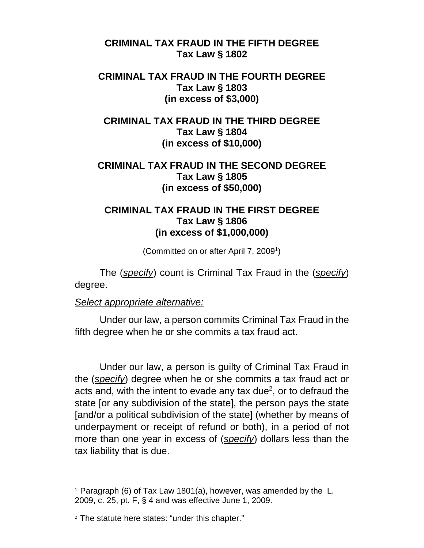**CRIMINAL TAX FRAUD IN THE FIFTH DEGREE Tax Law § 1802** 

## **CRIMINAL TAX FRAUD IN THE FOURTH DEGREE Tax Law § 1803 (in excess of \$3,000)**

**CRIMINAL TAX FRAUD IN THE THIRD DEGREE Tax Law § 1804 (in excess of \$10,000)** 

## **CRIMINAL TAX FRAUD IN THE SECOND DEGREE Tax Law § 1805 (in excess of \$50,000)**

## **CRIMINAL TAX FRAUD IN THE FIRST DEGREE Tax Law § 1806 (in excess of \$1,000,000)**

(Committed on or after April 7, 2009<sup>1</sup>)

The (*specify*) count is Criminal Tax Fraud in the (*specify*) degree.

## *Select appropriate alternative:*

Under our law, a person commits Criminal Tax Fraud in the fifth degree when he or she commits a tax fraud act.

Under our law, a person is guilty of Criminal Tax Fraud in the (*specify*) degree when he or she commits a tax fraud act or acts and, with the intent to evade any tax due<sup>2</sup>, or to defraud the state [or any subdivision of the state], the person pays the state [and/or a political subdivision of the state] (whether by means of underpayment or receipt of refund or both), in a period of not more than one year in excess of (*specify*) dollars less than the tax liability that is due.

 $1$  Paragraph (6) of Tax Law 1801(a), however, was amended by the L. 2009, c. 25, pt. F, § 4 and was effective June 1, 2009.

<sup>&</sup>lt;sup>2</sup> The statute here states: "under this chapter."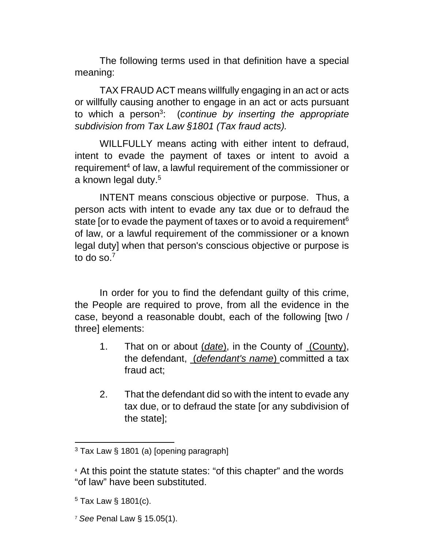The following terms used in that definition have a special meaning:

TAX FRAUD ACT means willfully engaging in an act or acts or willfully causing another to engage in an act or acts pursuant to which a person<sup>3</sup> : (*continue by inserting the appropriate subdivision from Tax Law §1801 (Tax fraud acts).* 

WILLFULLY means acting with either intent to defraud, intent to evade the payment of taxes or intent to avoid a requirement<sup>4</sup> of law, a lawful requirement of the commissioner or a known legal duty.<sup>5</sup>

INTENT means conscious objective or purpose. Thus, a person acts with intent to evade any tax due or to defraud the state [or to evade the payment of taxes or to avoid a requirement<sup>6</sup> of law, or a lawful requirement of the commissioner or a known legal duty] when that person's conscious objective or purpose is to do so. $<sup>7</sup>$ </sup>

In order for you to find the defendant guilty of this crime, the People are required to prove, from all the evidence in the case, beyond a reasonable doubt, each of the following [two / three] elements:

- 1. That on or about (*date*), in the County of (County), the defendant, (*defendant's name*) committed a tax fraud act;
- 2. That the defendant did so with the intent to evade any tax due, or to defraud the state [or any subdivision of the state];

 $3$  Tax Law § 1801 (a) [opening paragraph]

<sup>4</sup> At this point the statute states: "of this chapter" and the words "of law" have been substituted.

 $5$  Tax Law  $\S$  1801(c).

<sup>7</sup> *See* Penal Law § 15.05(1).